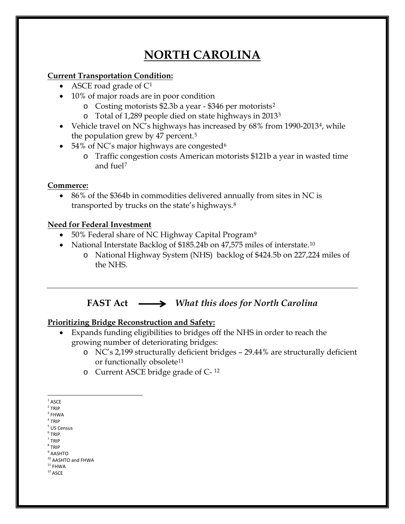# **NORTH CAROLINA**

### **Current Transportation Condition:**

- ASCE road grade of  $C^1$  $C^1$
- 10% of major roads are in poor condition
	- o Costing motorists \$2.3b a year \$346 per motorists[2](#page-0-1)
	- o Total of 1,289 people died on state highways in 2013[3](#page-0-2)
- Vehicle travel on NC's highways has increased by 68% from 1990-2013<sup>4</sup>, while the population grew by 47 percent.[5](#page-0-4)
- 54% of NC's major highways are congested<sup>[6](#page-0-5)</sup>
	- o Traffic congestion costs American motorists \$121b a year in wasted time and fuel[7](#page-0-6)

## **Commerce:**

• 86% of the \$364b in commodities delivered annually from sites in NC is transported by trucks on the state's highways.[8](#page-0-7)

## **Need for Federal Investment**

- 50% Federal share of NC Highway Capital Program<sup>[9](#page-0-8)</sup>
- National Interstate Backlog of \$185.24b on 47,575 miles of interstate.<sup>[10](#page-0-9)</sup>
	- o National Highway System (NHS) backlog of \$424.5b on 227,224 miles of the NHS.

# **FAST Act** *What this does for North Carolina*

# **Prioritizing Bridge Reconstruction and Safety:**

- Expands funding eligibilities to bridges off the NHS in order to reach the growing number of deteriorating bridges:
	- o NC's 2,199 structurally deficient bridges 29.44% are structurally deficient or functionally obsolete<sup>[11](#page-0-10)</sup>
	- o Current ASCE bridge grade of C- [12](#page-0-11)

- <span id="page-0-5"></span> $<sup>6</sup>$  TRIP.</sup>  $<sup>7</sup>$  TRIP</sup>
- <span id="page-0-6"></span><sup>8</sup> TRIP
- <span id="page-0-8"></span><span id="page-0-7"></span> $^9$  AASHTO

<span id="page-0-11"></span><span id="page-0-10"></span><span id="page-0-9"></span> $^{\rm 12}$  ASCE

 $^{\rm 1}$  ASCE

<span id="page-0-1"></span><span id="page-0-0"></span> $2$  TRIP

<span id="page-0-2"></span> $^3$  FHWA  $\,$ 

<span id="page-0-3"></span> $4$  TRIP

<span id="page-0-4"></span><sup>5</sup> US Census

 $10$  AASHTO and FHWA<br> $11$  FHWA